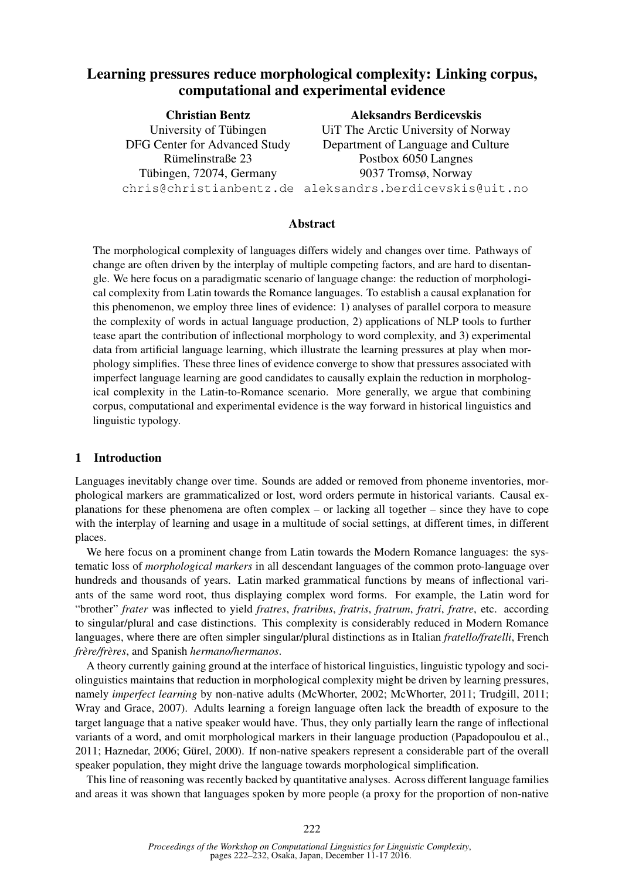# Learning pressures reduce morphological complexity: Linking corpus, computational and experimental evidence

| <b>Christian Bentz</b>        | <b>Aleksandrs Berdicevskis</b>                         |
|-------------------------------|--------------------------------------------------------|
| University of Tübingen        | UiT The Arctic University of Norway                    |
| DFG Center for Advanced Study | Department of Language and Culture                     |
| Rümelinstraße 23              | Postbox 6050 Langnes                                   |
| Tübingen, 72074, Germany      | 9037 Tromsø, Norway                                    |
|                               | chris@christianbentz.de aleksandrs.berdicevskis@uit.no |

#### Abstract

The morphological complexity of languages differs widely and changes over time. Pathways of change are often driven by the interplay of multiple competing factors, and are hard to disentangle. We here focus on a paradigmatic scenario of language change: the reduction of morphological complexity from Latin towards the Romance languages. To establish a causal explanation for this phenomenon, we employ three lines of evidence: 1) analyses of parallel corpora to measure the complexity of words in actual language production, 2) applications of NLP tools to further tease apart the contribution of inflectional morphology to word complexity, and 3) experimental data from artificial language learning, which illustrate the learning pressures at play when morphology simplifies. These three lines of evidence converge to show that pressures associated with imperfect language learning are good candidates to causally explain the reduction in morphological complexity in the Latin-to-Romance scenario. More generally, we argue that combining corpus, computational and experimental evidence is the way forward in historical linguistics and linguistic typology.

### 1 Introduction

Languages inevitably change over time. Sounds are added or removed from phoneme inventories, morphological markers are grammaticalized or lost, word orders permute in historical variants. Causal explanations for these phenomena are often complex – or lacking all together – since they have to cope with the interplay of learning and usage in a multitude of social settings, at different times, in different places.

We here focus on a prominent change from Latin towards the Modern Romance languages: the systematic loss of *morphological markers* in all descendant languages of the common proto-language over hundreds and thousands of years. Latin marked grammatical functions by means of inflectional variants of the same word root, thus displaying complex word forms. For example, the Latin word for "brother" *frater* was inflected to yield *fratres*, *fratribus*, *fratris*, *fratrum*, *fratri*, *fratre*, etc. according to singular/plural and case distinctions. This complexity is considerably reduced in Modern Romance languages, where there are often simpler singular/plural distinctions as in Italian *fratello/fratelli*, French *frere/fr ` eres `* , and Spanish *hermano/hermanos*.

A theory currently gaining ground at the interface of historical linguistics, linguistic typology and sociolinguistics maintains that reduction in morphological complexity might be driven by learning pressures, namely *imperfect learning* by non-native adults (McWhorter, 2002; McWhorter, 2011; Trudgill, 2011; Wray and Grace, 2007). Adults learning a foreign language often lack the breadth of exposure to the target language that a native speaker would have. Thus, they only partially learn the range of inflectional variants of a word, and omit morphological markers in their language production (Papadopoulou et al., 2011; Haznedar, 2006; Gurel, 2000). If non-native speakers represent a considerable part of the overall ¨ speaker population, they might drive the language towards morphological simplification.

This line of reasoning was recently backed by quantitative analyses. Across different language families and areas it was shown that languages spoken by more people (a proxy for the proportion of non-native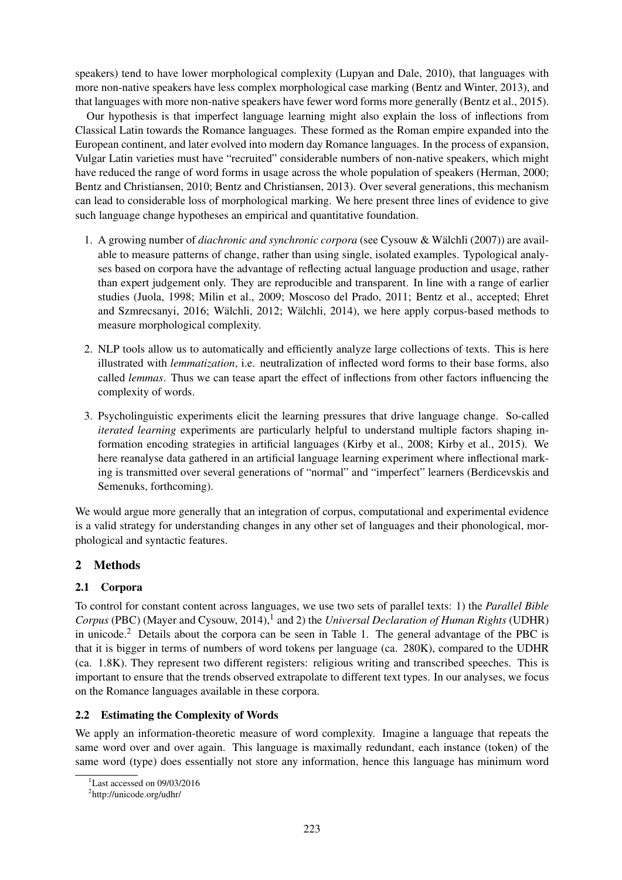speakers) tend to have lower morphological complexity (Lupyan and Dale, 2010), that languages with more non-native speakers have less complex morphological case marking (Bentz and Winter, 2013), and that languages with more non-native speakers have fewer word forms more generally (Bentz et al., 2015).

Our hypothesis is that imperfect language learning might also explain the loss of inflections from Classical Latin towards the Romance languages. These formed as the Roman empire expanded into the European continent, and later evolved into modern day Romance languages. In the process of expansion, Vulgar Latin varieties must have "recruited" considerable numbers of non-native speakers, which might have reduced the range of word forms in usage across the whole population of speakers (Herman, 2000; Bentz and Christiansen, 2010; Bentz and Christiansen, 2013). Over several generations, this mechanism can lead to considerable loss of morphological marking. We here present three lines of evidence to give such language change hypotheses an empirical and quantitative foundation.

- 1. A growing number of *diachronic and synchronic corpora* (see Cysouw & Walchli (2007)) are avail- ¨ able to measure patterns of change, rather than using single, isolated examples. Typological analyses based on corpora have the advantage of reflecting actual language production and usage, rather than expert judgement only. They are reproducible and transparent. In line with a range of earlier studies (Juola, 1998; Milin et al., 2009; Moscoso del Prado, 2011; Bentz et al., accepted; Ehret and Szmrecsanyi, 2016; Wälchli, 2012; Wälchli, 2014), we here apply corpus-based methods to measure morphological complexity.
- 2. NLP tools allow us to automatically and efficiently analyze large collections of texts. This is here illustrated with *lemmatization*, i.e. neutralization of inflected word forms to their base forms, also called *lemmas*. Thus we can tease apart the effect of inflections from other factors influencing the complexity of words.
- 3. Psycholinguistic experiments elicit the learning pressures that drive language change. So-called *iterated learning* experiments are particularly helpful to understand multiple factors shaping information encoding strategies in artificial languages (Kirby et al., 2008; Kirby et al., 2015). We here reanalyse data gathered in an artificial language learning experiment where inflectional marking is transmitted over several generations of "normal" and "imperfect" learners (Berdicevskis and Semenuks, forthcoming).

We would argue more generally that an integration of corpus, computational and experimental evidence is a valid strategy for understanding changes in any other set of languages and their phonological, morphological and syntactic features.

# 2 Methods

# 2.1 Corpora

To control for constant content across languages, we use two sets of parallel texts: 1) the *Parallel Bible* Corpus (PBC) (Mayer and Cysouw, 2014),<sup>1</sup> and 2) the *Universal Declaration of Human Rights* (UDHR) in unicode.<sup>2</sup> Details about the corpora can be seen in Table 1. The general advantage of the PBC is that it is bigger in terms of numbers of word tokens per language (ca. 280K), compared to the UDHR (ca. 1.8K). They represent two different registers: religious writing and transcribed speeches. This is important to ensure that the trends observed extrapolate to different text types. In our analyses, we focus on the Romance languages available in these corpora.

# 2.2 Estimating the Complexity of Words

We apply an information-theoretic measure of word complexity. Imagine a language that repeats the same word over and over again. This language is maximally redundant, each instance (token) of the same word (type) does essentially not store any information, hence this language has minimum word

<sup>1</sup>Last accessed on 09/03/2016

<sup>2</sup> http://unicode.org/udhr/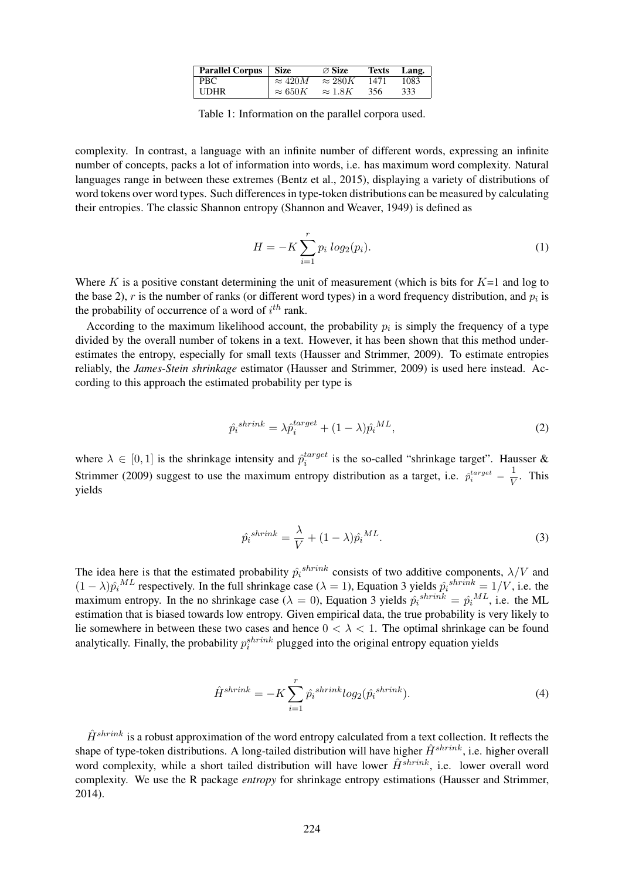| <b>Parallel Corpus</b> | Size           | $\varnothing$ Size | <b>Texts</b> | Lang. |
|------------------------|----------------|--------------------|--------------|-------|
| PBC-                   | $\approx 420M$ | $\approx 280K$     | 1471         | 1083  |
| <b>UDHR</b>            | $\approx 650K$ | $\approx 1.8K$     | 356          | 333   |

Table 1: Information on the parallel corpora used.

complexity. In contrast, a language with an infinite number of different words, expressing an infinite number of concepts, packs a lot of information into words, i.e. has maximum word complexity. Natural languages range in between these extremes (Bentz et al., 2015), displaying a variety of distributions of word tokens over word types. Such differences in type-token distributions can be measured by calculating their entropies. The classic Shannon entropy (Shannon and Weaver, 1949) is defined as

$$
H = -K \sum_{i=1}^{r} p_i \log_2(p_i).
$$
 (1)

Where K is a positive constant determining the unit of measurement (which is bits for  $K=1$  and log to the base 2),  $r$  is the number of ranks (or different word types) in a word frequency distribution, and  $p_i$  is the probability of occurrence of a word of  $i^{th}$  rank.

According to the maximum likelihood account, the probability  $p_i$  is simply the frequency of a type divided by the overall number of tokens in a text. However, it has been shown that this method underestimates the entropy, especially for small texts (Hausser and Strimmer, 2009). To estimate entropies reliably, the *James-Stein shrinkage* estimator (Hausser and Strimmer, 2009) is used here instead. According to this approach the estimated probability per type is

$$
\hat{p}_i^{shrink} = \lambda \hat{p}_i^{target} + (1 - \lambda)\hat{p}_i^{ML},\tag{2}
$$

where  $\lambda \in [0, 1]$  is the shrinkage intensity and  $\hat{p}_i^{target}$  $i_i^{target}$  is the so-called "shrinkage target". Hausser & Strimmer (2009) suggest to use the maximum entropy distribution as a target, i.e.  $\hat{p}_i^{target} = \frac{1}{V}$  $\frac{1}{V}$ . This yields

$$
\hat{p}_i^{shrink} = \frac{\lambda}{V} + (1 - \lambda)\hat{p}_i^{ML}.\tag{3}
$$

The idea here is that the estimated probability  $\hat{p}_i^{shrink}$  consists of two additive components,  $\lambda/V$  and  $(1 - \lambda)\hat{p_i}^{ML}$  respectively. In the full shrinkage case  $(\lambda = 1)$ , Equation 3 yields  $\hat{p_i}^{shrink} = 1/V$ , i.e. the maximum entropy. In the no shrinkage case ( $\lambda = 0$ ), Equation 3 yields  $\hat{p}_i^{shrink} = \hat{p}_i^{ML}$ , i.e. the ML estimation that is biased towards low entropy. Given empirical data, the true probability is very likely to lie somewhere in between these two cases and hence  $0 < \lambda < 1$ . The optimal shrinkage can be found analytically. Finally, the probability  $p_i^{shrink}$  plugged into the original entropy equation yields

$$
\hat{H}^{shrink} = -K \sum_{i=1}^{r} \hat{p}_i^{shrink} log_2(\hat{p}_i^{shrink}). \tag{4}
$$

 $\hat{H}^{shrink}$  is a robust approximation of the word entropy calculated from a text collection. It reflects the shape of type-token distributions. A long-tailed distribution will have higher  $\hat{H}^{shrink}$ , i.e. higher overall word complexity, while a short tailed distribution will have lower  $\hat{H}^{shrink}$ , i.e. lower overall word complexity. We use the R package *entropy* for shrinkage entropy estimations (Hausser and Strimmer, 2014).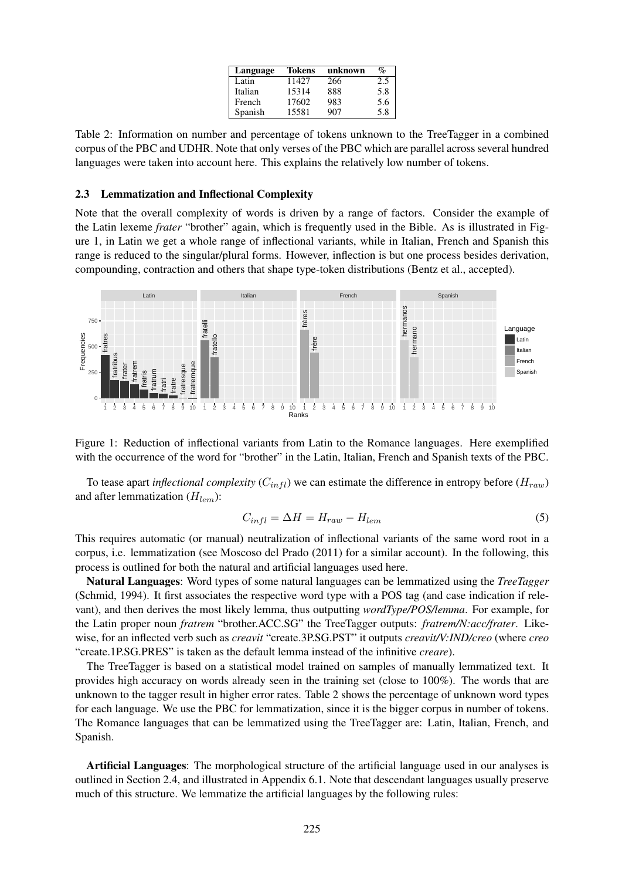| Language | <b>Tokens</b> | unknown | $\mathcal{O}_\mathcal{D}$ |
|----------|---------------|---------|---------------------------|
| Latin    | 1142.7        | 266     | 2.5                       |
| Italian  | 15314         | 888     | 5.8                       |
| French   | 17602         | 983     | 5.6                       |
| Spanish  | 15581         | 907     | 5.8                       |

Table 2: Information on number and percentage of tokens unknown to the TreeTagger in a combined corpus of the PBC and UDHR. Note that only verses of the PBC which are parallel across several hundred languages were taken into account here. This explains the relatively low number of tokens.

#### 2.3 Lemmatization and Inflectional Complexity

Note that the overall complexity of words is driven by a range of factors. Consider the example of the Latin lexeme *frater* "brother" again, which is frequently used in the Bible. As is illustrated in Figure 1, in Latin we get a whole range of inflectional variants, while in Italian, French and Spanish this range is reduced to the singular/plural forms. However, inflection is but one process besides derivation, compounding, contraction and others that shape type-token distributions (Bentz et al., accepted).



Figure 1: Reduction of inflectional variants from Latin to the Romance languages. Here exemplified with the occurrence of the word for "brother" in the Latin, Italian, French and Spanish texts of the PBC.

To tease apart *inflectional complexity*  $(C_{infl})$  we can estimate the difference in entropy before  $(H_{raw})$ and after lemmatization  $(H_{lem})$ :

$$
C_{infl} = \Delta H = H_{raw} - H_{lem} \tag{5}
$$

This requires automatic (or manual) neutralization of inflectional variants of the same word root in a corpus, i.e. lemmatization (see Moscoso del Prado (2011) for a similar account). In the following, this process is outlined for both the natural and artificial languages used here.

Natural Languages: Word types of some natural languages can be lemmatized using the *TreeTagger* (Schmid, 1994). It first associates the respective word type with a POS tag (and case indication if relevant), and then derives the most likely lemma, thus outputting *wordType/POS/lemma*. For example, for the Latin proper noun *fratrem* "brother.ACC.SG" the TreeTagger outputs: *fratrem/N:acc/frater*. Likewise, for an inflected verb such as *creavit* "create.3P.SG.PST" it outputs *creavit/V:IND/creo* (where *creo* "create.1P.SG.PRES" is taken as the default lemma instead of the infinitive *creare*).

The TreeTagger is based on a statistical model trained on samples of manually lemmatized text. It provides high accuracy on words already seen in the training set (close to 100%). The words that are unknown to the tagger result in higher error rates. Table 2 shows the percentage of unknown word types for each language. We use the PBC for lemmatization, since it is the bigger corpus in number of tokens. The Romance languages that can be lemmatized using the TreeTagger are: Latin, Italian, French, and Spanish.

Artificial Languages: The morphological structure of the artificial language used in our analyses is outlined in Section 2.4, and illustrated in Appendix 6.1. Note that descendant languages usually preserve much of this structure. We lemmatize the artificial languages by the following rules: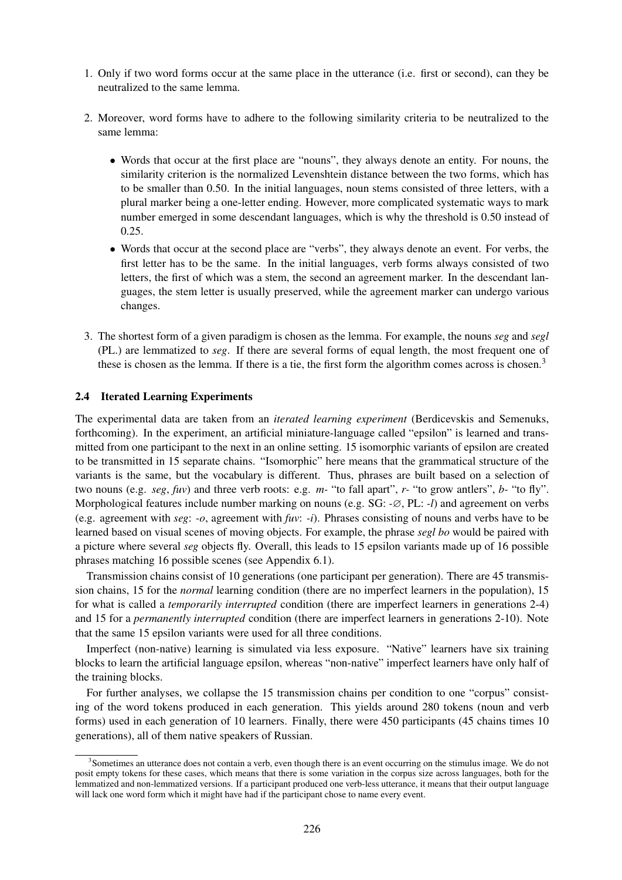- 1. Only if two word forms occur at the same place in the utterance (i.e. first or second), can they be neutralized to the same lemma.
- 2. Moreover, word forms have to adhere to the following similarity criteria to be neutralized to the same lemma:
	- Words that occur at the first place are "nouns", they always denote an entity. For nouns, the similarity criterion is the normalized Levenshtein distance between the two forms, which has to be smaller than 0.50. In the initial languages, noun stems consisted of three letters, with a plural marker being a one-letter ending. However, more complicated systematic ways to mark number emerged in some descendant languages, which is why the threshold is 0.50 instead of 0.25.
	- Words that occur at the second place are "verbs", they always denote an event. For verbs, the first letter has to be the same. In the initial languages, verb forms always consisted of two letters, the first of which was a stem, the second an agreement marker. In the descendant languages, the stem letter is usually preserved, while the agreement marker can undergo various changes.
- 3. The shortest form of a given paradigm is chosen as the lemma. For example, the nouns *seg* and *segl* (PL.) are lemmatized to *seg*. If there are several forms of equal length, the most frequent one of these is chosen as the lemma. If there is a tie, the first form the algorithm comes across is chosen.<sup>3</sup>

#### 2.4 Iterated Learning Experiments

The experimental data are taken from an *iterated learning experiment* (Berdicevskis and Semenuks, forthcoming). In the experiment, an artificial miniature-language called "epsilon" is learned and transmitted from one participant to the next in an online setting. 15 isomorphic variants of epsilon are created to be transmitted in 15 separate chains. "Isomorphic" here means that the grammatical structure of the variants is the same, but the vocabulary is different. Thus, phrases are built based on a selection of two nouns (e.g. *seg*, *fuv*) and three verb roots: e.g. *m-* "to fall apart", *r-* "to grow antlers", *b-* "to fly". Morphological features include number marking on nouns (e.g. SG: *-*∅, PL: *-l*) and agreement on verbs (e.g. agreement with *seg*: *-o*, agreement with *fuv*: *-i*). Phrases consisting of nouns and verbs have to be learned based on visual scenes of moving objects. For example, the phrase *segl bo* would be paired with a picture where several *seg* objects fly. Overall, this leads to 15 epsilon variants made up of 16 possible phrases matching 16 possible scenes (see Appendix 6.1).

Transmission chains consist of 10 generations (one participant per generation). There are 45 transmission chains, 15 for the *normal* learning condition (there are no imperfect learners in the population), 15 for what is called a *temporarily interrupted* condition (there are imperfect learners in generations 2-4) and 15 for a *permanently interrupted* condition (there are imperfect learners in generations 2-10). Note that the same 15 epsilon variants were used for all three conditions.

Imperfect (non-native) learning is simulated via less exposure. "Native" learners have six training blocks to learn the artificial language epsilon, whereas "non-native" imperfect learners have only half of the training blocks.

For further analyses, we collapse the 15 transmission chains per condition to one "corpus" consisting of the word tokens produced in each generation. This yields around 280 tokens (noun and verb forms) used in each generation of 10 learners. Finally, there were 450 participants (45 chains times 10 generations), all of them native speakers of Russian.

<sup>&</sup>lt;sup>3</sup>Sometimes an utterance does not contain a verb, even though there is an event occurring on the stimulus image. We do not posit empty tokens for these cases, which means that there is some variation in the corpus size across languages, both for the lemmatized and non-lemmatized versions. If a participant produced one verb-less utterance, it means that their output language will lack one word form which it might have had if the participant chose to name every event.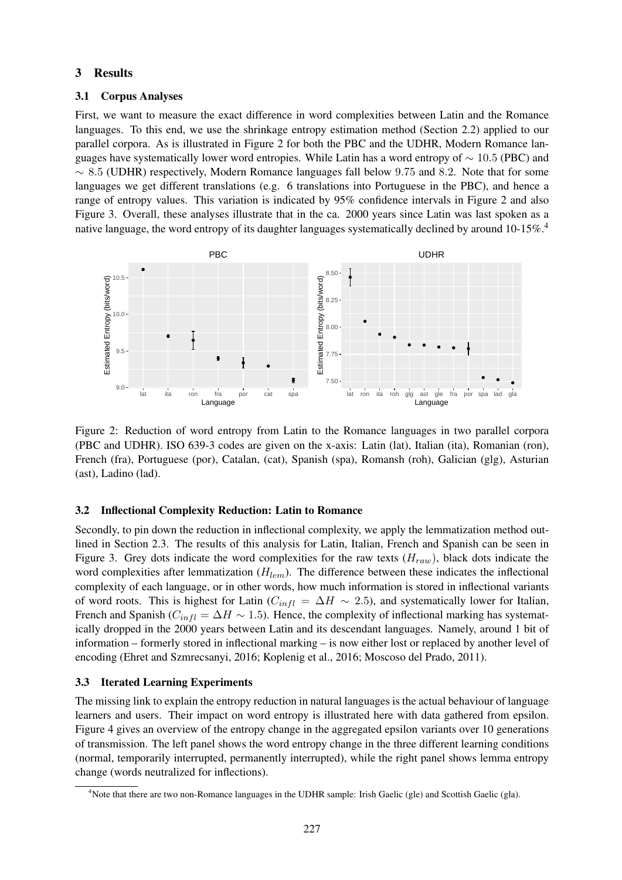### 3 Results

### 3.1 Corpus Analyses

First, we want to measure the exact difference in word complexities between Latin and the Romance languages. To this end, we use the shrinkage entropy estimation method (Section 2.2) applied to our parallel corpora. As is illustrated in Figure 2 for both the PBC and the UDHR, Modern Romance languages have systematically lower word entropies. While Latin has a word entropy of  $\sim 10.5$  (PBC) and  $\sim$  8.5 (UDHR) respectively, Modern Romance languages fall below 9.75 and 8.2. Note that for some languages we get different translations (e.g. 6 translations into Portuguese in the PBC), and hence a range of entropy values. This variation is indicated by 95% confidence intervals in Figure 2 and also Figure 3. Overall, these analyses illustrate that in the ca. 2000 years since Latin was last spoken as a native language, the word entropy of its daughter languages systematically declined by around 10-15%.<sup>4</sup>



Figure 2: Reduction of word entropy from Latin to the Romance languages in two parallel corpora (PBC and UDHR). ISO 639-3 codes are given on the x-axis: Latin (lat), Italian (ita), Romanian (ron), French (fra), Portuguese (por), Catalan, (cat), Spanish (spa), Romansh (roh), Galician (glg), Asturian (ast), Ladino (lad).

# 3.2 Inflectional Complexity Reduction: Latin to Romance

Secondly, to pin down the reduction in inflectional complexity, we apply the lemmatization method outlined in Section 2.3. The results of this analysis for Latin, Italian, French and Spanish can be seen in Figure 3. Grey dots indicate the word complexities for the raw texts  $(H_{raw})$ , black dots indicate the word complexities after lemmatization  $(H_{lem})$ . The difference between these indicates the inflectional complexity of each language, or in other words, how much information is stored in inflectional variants of word roots. This is highest for Latin ( $C_{infl} = \Delta H \sim 2.5$ ), and systematically lower for Italian, French and Spanish ( $C_{infl} = \Delta H \sim 1.5$ ). Hence, the complexity of inflectional marking has systematically dropped in the 2000 years between Latin and its descendant languages. Namely, around 1 bit of information – formerly stored in inflectional marking – is now either lost or replaced by another level of encoding (Ehret and Szmrecsanyi, 2016; Koplenig et al., 2016; Moscoso del Prado, 2011).

# 3.3 Iterated Learning Experiments

The missing link to explain the entropy reduction in natural languages is the actual behaviour of language learners and users. Their impact on word entropy is illustrated here with data gathered from epsilon. Figure 4 gives an overview of the entropy change in the aggregated epsilon variants over 10 generations of transmission. The left panel shows the word entropy change in the three different learning conditions (normal, temporarily interrupted, permanently interrupted), while the right panel shows lemma entropy change (words neutralized for inflections).

<sup>&</sup>lt;sup>4</sup>Note that there are two non-Romance languages in the UDHR sample: Irish Gaelic (gle) and Scottish Gaelic (gla).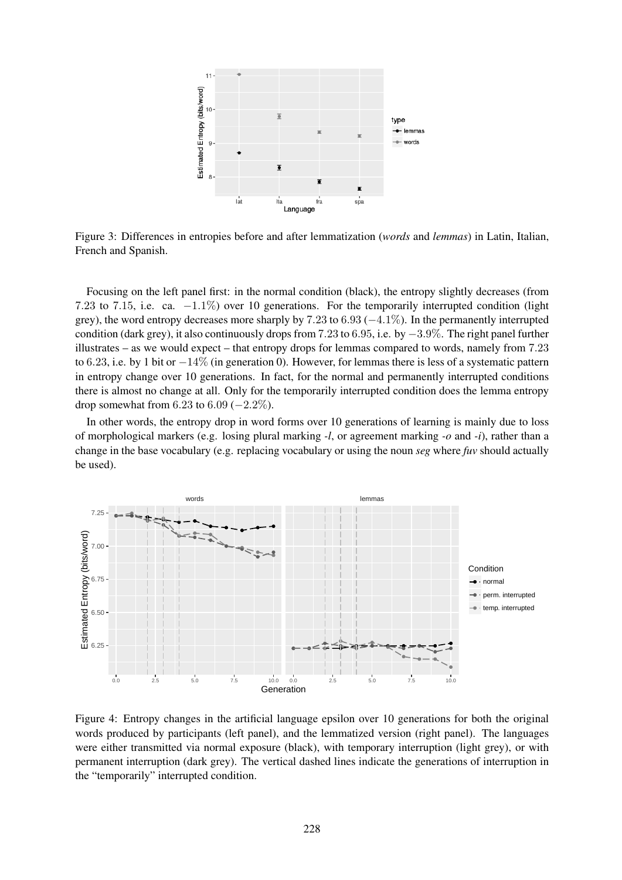

Figure 3: Differences in entropies before and after lemmatization (*words* and *lemmas*) in Latin, Italian, French and Spanish.

Focusing on the left panel first: in the normal condition (black), the entropy slightly decreases (from 7.23 to 7.15, i.e. ca. −1.1%) over 10 generations. For the temporarily interrupted condition (light grey), the word entropy decreases more sharply by 7.23 to 6.93 (−4.1%). In the permanently interrupted condition (dark grey), it also continuously drops from 7.23 to 6.95, i.e. by −3.9%. The right panel further illustrates – as we would expect – that entropy drops for lemmas compared to words, namely from 7.23 to 6.23, i.e. by 1 bit or  $-14\%$  (in generation 0). However, for lemmas there is less of a systematic pattern in entropy change over 10 generations. In fact, for the normal and permanently interrupted conditions there is almost no change at all. Only for the temporarily interrupted condition does the lemma entropy drop somewhat from 6.23 to 6.09 ( $-2.2\%$ ).

In other words, the entropy drop in word forms over 10 generations of learning is mainly due to loss of morphological markers (e.g. losing plural marking *-l*, or agreement marking *-o* and *-i*), rather than a change in the base vocabulary (e.g. replacing vocabulary or using the noun *seg* where *fuv* should actually be used).



Figure 4: Entropy changes in the artificial language epsilon over 10 generations for both the original words produced by participants (left panel), and the lemmatized version (right panel). The languages were either transmitted via normal exposure (black), with temporary interruption (light grey), or with permanent interruption (dark grey). The vertical dashed lines indicate the generations of interruption in the "temporarily" interrupted condition.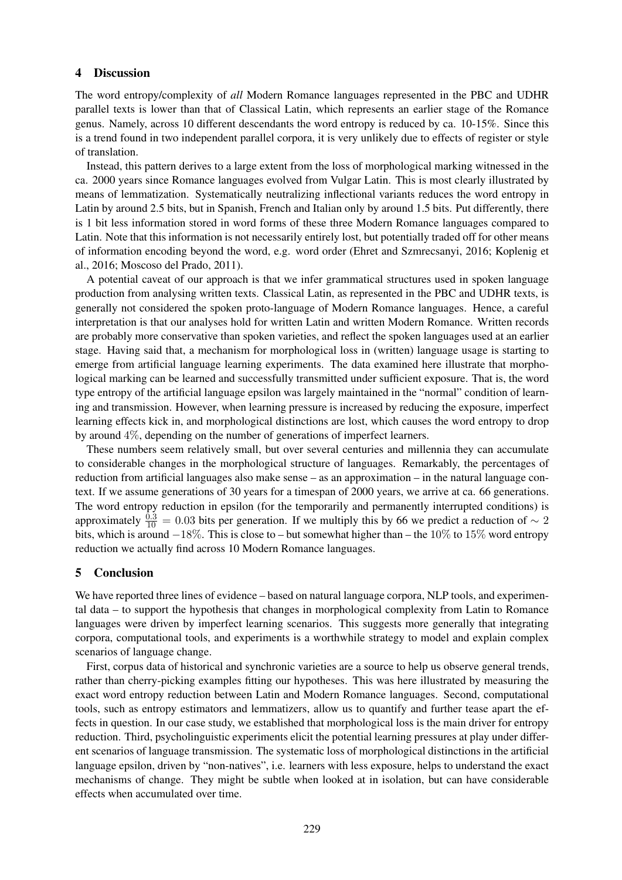#### 4 Discussion

The word entropy/complexity of *all* Modern Romance languages represented in the PBC and UDHR parallel texts is lower than that of Classical Latin, which represents an earlier stage of the Romance genus. Namely, across 10 different descendants the word entropy is reduced by ca. 10-15%. Since this is a trend found in two independent parallel corpora, it is very unlikely due to effects of register or style of translation.

Instead, this pattern derives to a large extent from the loss of morphological marking witnessed in the ca. 2000 years since Romance languages evolved from Vulgar Latin. This is most clearly illustrated by means of lemmatization. Systematically neutralizing inflectional variants reduces the word entropy in Latin by around 2.5 bits, but in Spanish, French and Italian only by around 1.5 bits. Put differently, there is 1 bit less information stored in word forms of these three Modern Romance languages compared to Latin. Note that this information is not necessarily entirely lost, but potentially traded off for other means of information encoding beyond the word, e.g. word order (Ehret and Szmrecsanyi, 2016; Koplenig et al., 2016; Moscoso del Prado, 2011).

A potential caveat of our approach is that we infer grammatical structures used in spoken language production from analysing written texts. Classical Latin, as represented in the PBC and UDHR texts, is generally not considered the spoken proto-language of Modern Romance languages. Hence, a careful interpretation is that our analyses hold for written Latin and written Modern Romance. Written records are probably more conservative than spoken varieties, and reflect the spoken languages used at an earlier stage. Having said that, a mechanism for morphological loss in (written) language usage is starting to emerge from artificial language learning experiments. The data examined here illustrate that morphological marking can be learned and successfully transmitted under sufficient exposure. That is, the word type entropy of the artificial language epsilon was largely maintained in the "normal" condition of learning and transmission. However, when learning pressure is increased by reducing the exposure, imperfect learning effects kick in, and morphological distinctions are lost, which causes the word entropy to drop by around 4%, depending on the number of generations of imperfect learners.

These numbers seem relatively small, but over several centuries and millennia they can accumulate to considerable changes in the morphological structure of languages. Remarkably, the percentages of reduction from artificial languages also make sense – as an approximation – in the natural language context. If we assume generations of 30 years for a timespan of 2000 years, we arrive at ca. 66 generations. The word entropy reduction in epsilon (for the temporarily and permanently interrupted conditions) is approximately  $\frac{0.3}{10} = 0.03$  bits per generation. If we multiply this by 66 we predict a reduction of ~ 2 bits, which is around −18%. This is close to – but somewhat higher than – the 10% to 15% word entropy reduction we actually find across 10 Modern Romance languages.

### 5 Conclusion

We have reported three lines of evidence – based on natural language corpora, NLP tools, and experimental data – to support the hypothesis that changes in morphological complexity from Latin to Romance languages were driven by imperfect learning scenarios. This suggests more generally that integrating corpora, computational tools, and experiments is a worthwhile strategy to model and explain complex scenarios of language change.

First, corpus data of historical and synchronic varieties are a source to help us observe general trends, rather than cherry-picking examples fitting our hypotheses. This was here illustrated by measuring the exact word entropy reduction between Latin and Modern Romance languages. Second, computational tools, such as entropy estimators and lemmatizers, allow us to quantify and further tease apart the effects in question. In our case study, we established that morphological loss is the main driver for entropy reduction. Third, psycholinguistic experiments elicit the potential learning pressures at play under different scenarios of language transmission. The systematic loss of morphological distinctions in the artificial language epsilon, driven by "non-natives", i.e. learners with less exposure, helps to understand the exact mechanisms of change. They might be subtle when looked at in isolation, but can have considerable effects when accumulated over time.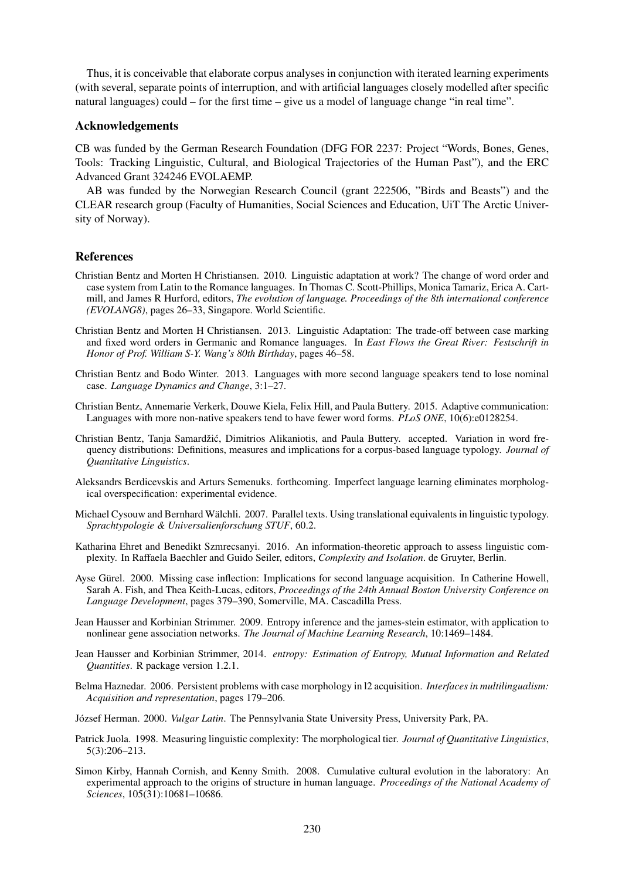Thus, it is conceivable that elaborate corpus analyses in conjunction with iterated learning experiments (with several, separate points of interruption, and with artificial languages closely modelled after specific natural languages) could – for the first time – give us a model of language change "in real time".

#### Acknowledgements

CB was funded by the German Research Foundation (DFG FOR 2237: Project "Words, Bones, Genes, Tools: Tracking Linguistic, Cultural, and Biological Trajectories of the Human Past"), and the ERC Advanced Grant 324246 EVOLAEMP.

AB was funded by the Norwegian Research Council (grant 222506, "Birds and Beasts") and the CLEAR research group (Faculty of Humanities, Social Sciences and Education, UiT The Arctic University of Norway).

#### References

- Christian Bentz and Morten H Christiansen. 2010. Linguistic adaptation at work? The change of word order and case system from Latin to the Romance languages. In Thomas C. Scott-Phillips, Monica Tamariz, Erica A. Cartmill, and James R Hurford, editors, *The evolution of language. Proceedings of the 8th international conference (EVOLANG8)*, pages 26–33, Singapore. World Scientific.
- Christian Bentz and Morten H Christiansen. 2013. Linguistic Adaptation: The trade-off between case marking and fixed word orders in Germanic and Romance languages. In *East Flows the Great River: Festschrift in Honor of Prof. William S-Y. Wang's 80th Birthday*, pages 46–58.
- Christian Bentz and Bodo Winter. 2013. Languages with more second language speakers tend to lose nominal case. *Language Dynamics and Change*, 3:1–27.
- Christian Bentz, Annemarie Verkerk, Douwe Kiela, Felix Hill, and Paula Buttery. 2015. Adaptive communication: Languages with more non-native speakers tend to have fewer word forms. *PLoS ONE*, 10(6):e0128254.
- Christian Bentz, Tanja Samardžić, Dimitrios Alikaniotis, and Paula Buttery. accepted. Variation in word frequency distributions: Definitions, measures and implications for a corpus-based language typology. *Journal of Quantitative Linguistics*.
- Aleksandrs Berdicevskis and Arturs Semenuks. forthcoming. Imperfect language learning eliminates morphological overspecification: experimental evidence.
- Michael Cysouw and Bernhard Walchli. 2007. Parallel texts. Using translational equivalents in linguistic typology. ¨ *Sprachtypologie & Universalienforschung STUF*, 60.2.
- Katharina Ehret and Benedikt Szmrecsanyi. 2016. An information-theoretic approach to assess linguistic complexity. In Raffaela Baechler and Guido Seiler, editors, *Complexity and Isolation*. de Gruyter, Berlin.
- Ayse Gürel. 2000. Missing case inflection: Implications for second language acquisition. In Catherine Howell, Sarah A. Fish, and Thea Keith-Lucas, editors, *Proceedings of the 24th Annual Boston University Conference on Language Development*, pages 379–390, Somerville, MA. Cascadilla Press.
- Jean Hausser and Korbinian Strimmer. 2009. Entropy inference and the james-stein estimator, with application to nonlinear gene association networks. *The Journal of Machine Learning Research*, 10:1469–1484.
- Jean Hausser and Korbinian Strimmer, 2014. *entropy: Estimation of Entropy, Mutual Information and Related Quantities*. R package version 1.2.1.
- Belma Haznedar. 2006. Persistent problems with case morphology in l2 acquisition. *Interfaces in multilingualism: Acquisition and representation*, pages 179–206.
- József Herman. 2000. *Vulgar Latin*. The Pennsylvania State University Press, University Park, PA.
- Patrick Juola. 1998. Measuring linguistic complexity: The morphological tier. *Journal of Quantitative Linguistics*, 5(3):206–213.
- Simon Kirby, Hannah Cornish, and Kenny Smith. 2008. Cumulative cultural evolution in the laboratory: An experimental approach to the origins of structure in human language. *Proceedings of the National Academy of Sciences*, 105(31):10681–10686.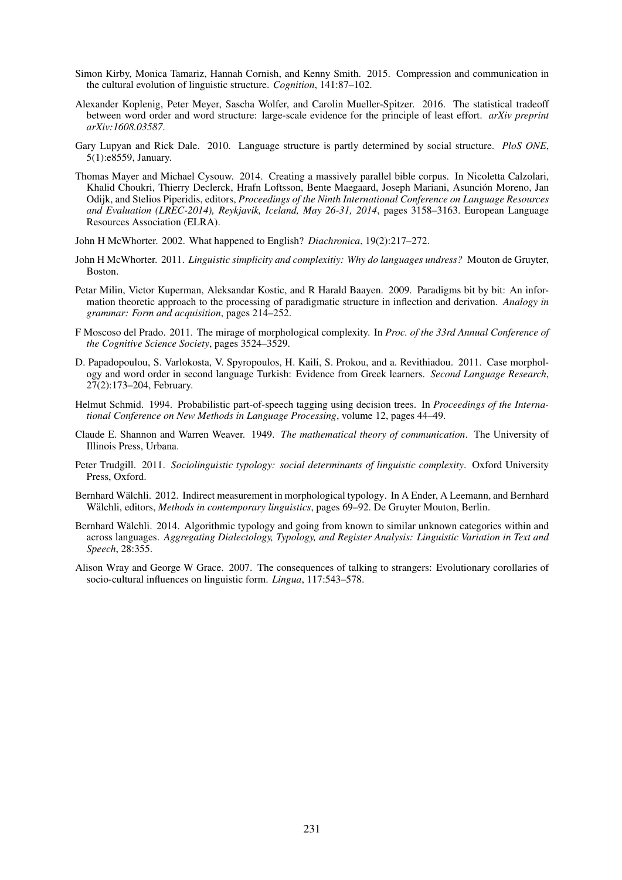- Simon Kirby, Monica Tamariz, Hannah Cornish, and Kenny Smith. 2015. Compression and communication in the cultural evolution of linguistic structure. *Cognition*, 141:87–102.
- Alexander Koplenig, Peter Meyer, Sascha Wolfer, and Carolin Mueller-Spitzer. 2016. The statistical tradeoff between word order and word structure: large-scale evidence for the principle of least effort. *arXiv preprint arXiv:1608.03587*.
- Gary Lupyan and Rick Dale. 2010. Language structure is partly determined by social structure. *PloS ONE*, 5(1):e8559, January.
- Thomas Mayer and Michael Cysouw. 2014. Creating a massively parallel bible corpus. In Nicoletta Calzolari, Khalid Choukri, Thierry Declerck, Hrafn Loftsson, Bente Maegaard, Joseph Mariani, Asuncion Moreno, Jan ´ Odijk, and Stelios Piperidis, editors, *Proceedings of the Ninth International Conference on Language Resources and Evaluation (LREC-2014), Reykjavik, Iceland, May 26-31, 2014*, pages 3158–3163. European Language Resources Association (ELRA).
- John H McWhorter. 2002. What happened to English? *Diachronica*, 19(2):217–272.
- John H McWhorter. 2011. *Linguistic simplicity and complexitiy: Why do languages undress?* Mouton de Gruyter, Boston.
- Petar Milin, Victor Kuperman, Aleksandar Kostic, and R Harald Baayen. 2009. Paradigms bit by bit: An information theoretic approach to the processing of paradigmatic structure in inflection and derivation. *Analogy in grammar: Form and acquisition*, pages 214–252.
- F Moscoso del Prado. 2011. The mirage of morphological complexity. In *Proc. of the 33rd Annual Conference of the Cognitive Science Society*, pages 3524–3529.
- D. Papadopoulou, S. Varlokosta, V. Spyropoulos, H. Kaili, S. Prokou, and a. Revithiadou. 2011. Case morphology and word order in second language Turkish: Evidence from Greek learners. *Second Language Research*, 27(2):173–204, February.
- Helmut Schmid. 1994. Probabilistic part-of-speech tagging using decision trees. In *Proceedings of the International Conference on New Methods in Language Processing*, volume 12, pages 44–49.
- Claude E. Shannon and Warren Weaver. 1949. *The mathematical theory of communication*. The University of Illinois Press, Urbana.
- Peter Trudgill. 2011. *Sociolinguistic typology: social determinants of linguistic complexity*. Oxford University Press, Oxford.
- Bernhard Wälchli. 2012. Indirect measurement in morphological typology. In A Ender, A Leemann, and Bernhard Wälchli, editors, *Methods in contemporary linguistics*, pages 69–92. De Gruyter Mouton, Berlin.
- Bernhard Wälchli. 2014. Algorithmic typology and going from known to similar unknown categories within and across languages. *Aggregating Dialectology, Typology, and Register Analysis: Linguistic Variation in Text and Speech*, 28:355.
- Alison Wray and George W Grace. 2007. The consequences of talking to strangers: Evolutionary corollaries of socio-cultural influences on linguistic form. *Lingua*, 117:543–578.